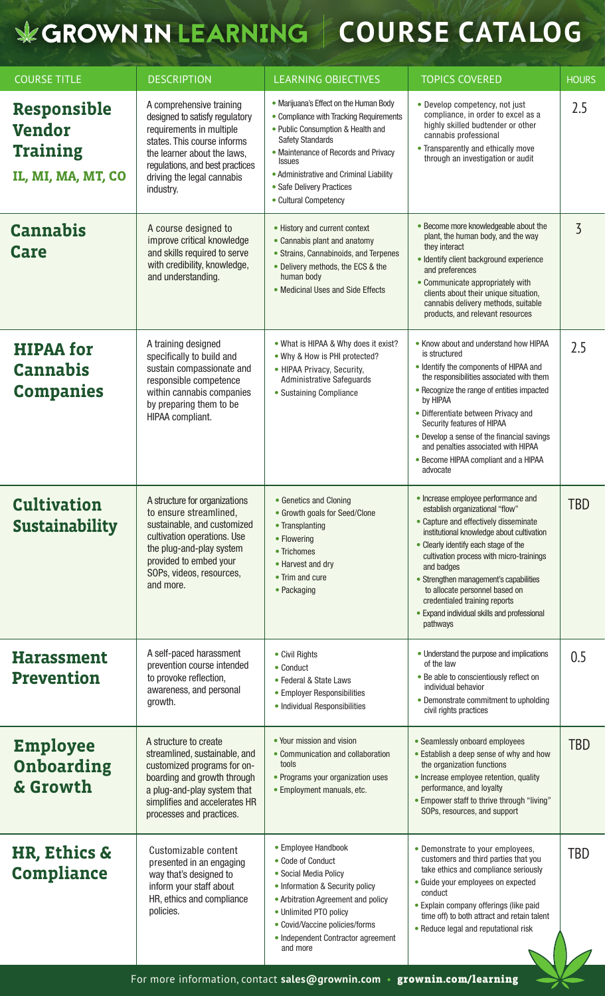## **COURSE CATALOG**

| <b>COURSE TITLE</b>                                                          | <b>DESCRIPTION</b>                                                                                                                                                                                                                 | <b>LEARNING OBJECTIVES</b>                                                                                                                                                                                                                                                                                  | <b>TOPICS COVERED</b>                                                                                                                                                                                                                                                                                                                                                                                                                  | <b>HOURS</b>   |
|------------------------------------------------------------------------------|------------------------------------------------------------------------------------------------------------------------------------------------------------------------------------------------------------------------------------|-------------------------------------------------------------------------------------------------------------------------------------------------------------------------------------------------------------------------------------------------------------------------------------------------------------|----------------------------------------------------------------------------------------------------------------------------------------------------------------------------------------------------------------------------------------------------------------------------------------------------------------------------------------------------------------------------------------------------------------------------------------|----------------|
| <b>Responsible</b><br><b>Vendor</b><br><b>Training</b><br>IL, MI, MA, MT, CO | A comprehensive training<br>designed to satisfy regulatory<br>requirements in multiple<br>states. This course informs<br>the learner about the laws,<br>regulations, and best practices<br>driving the legal cannabis<br>industry. | • Marijuana's Effect on the Human Body<br>• Compliance with Tracking Requirements<br>• Public Consumption & Health and<br><b>Safety Standards</b><br>• Maintenance of Records and Privacy<br><b>Issues</b><br>• Administrative and Criminal Liability<br>• Safe Delivery Practices<br>• Cultural Competency | • Develop competency, not just<br>compliance, in order to excel as a<br>highly skilled budtender or other<br>cannabis professional<br>• Transparently and ethically move<br>through an investigation or audit                                                                                                                                                                                                                          | 2.5            |
| <b>Cannabis</b><br><b>Care</b>                                               | A course designed to<br>improve critical knowledge<br>and skills required to serve<br>with credibility, knowledge,<br>and understanding.                                                                                           | • History and current context<br>• Cannabis plant and anatomy<br>• Strains, Cannabinoids, and Terpenes<br>• Delivery methods, the ECS & the<br>human body<br>• Medicinal Uses and Side Effects                                                                                                              | • Become more knowledgeable about the<br>plant, the human body, and the way<br>they interact<br>· Identify client background experience<br>and preferences<br>• Communicate appropriately with<br>clients about their unique situation,<br>cannabis delivery methods, suitable<br>products, and relevant resources                                                                                                                     | $\overline{3}$ |
| <b>HIPAA for</b><br><b>Cannabis</b><br><b>Companies</b>                      | A training designed<br>specifically to build and<br>sustain compassionate and<br>responsible competence<br>within cannabis companies<br>by preparing them to be<br>HIPAA compliant.                                                | . What is HIPAA & Why does it exist?<br>. Why & How is PHI protected?<br>• HIPAA Privacy, Security,<br><b>Administrative Safeguards</b><br>• Sustaining Compliance                                                                                                                                          | • Know about and understand how HIPAA<br>is structured<br>• Identify the components of HIPAA and<br>the responsibilities associated with them<br>• Recognize the range of entities impacted<br>by HIPAA<br>• Differentiate between Privacy and<br>Security features of HIPAA<br>• Develop a sense of the financial savings<br>and penalties associated with HIPAA<br>• Become HIPAA compliant and a HIPAA<br>advocate                  | 2.5            |
| <b>Cultivation</b><br><b>Sustainability</b>                                  | A structure for organizations<br>to ensure streamlined,<br>sustainable, and customized<br>cultivation operations. Use<br>the plug-and-play system<br>provided to embed your<br>SOPs, videos, resources,<br>and more.               | • Genetics and Cloning<br>• Growth goals for Seed/Clone<br>• Transplanting<br>• Flowering<br>• Trichomes<br>• Harvest and dry<br>• Trim and cure<br>• Packaging                                                                                                                                             | • Increase employee performance and<br>establish organizational "flow"<br>• Capture and effectively disseminate<br>institutional knowledge about cultivation<br>• Clearly identify each stage of the<br>cultivation process with micro-trainings<br>and badges<br>• Strengthen management's capabilities<br>to allocate personnel based on<br>credentialed training reports<br>• Expand individual skills and professional<br>pathways | <b>TBD</b>     |
| <b>Harassment</b><br><b>Prevention</b>                                       | A self-paced harassment<br>prevention course intended<br>to provoke reflection,<br>awareness, and personal<br>growth.                                                                                                              | • Civil Rights<br>• Conduct<br>• Federal & State Laws<br>• Employer Responsibilities<br>• Individual Responsibilities                                                                                                                                                                                       | • Understand the purpose and implications<br>of the law<br>• Be able to conscientiously reflect on<br>individual behavior<br>• Demonstrate commitment to upholding<br>civil rights practices                                                                                                                                                                                                                                           | 0.5            |
| <b>Employee</b><br>Onboarding<br>& Growth                                    | A structure to create<br>streamlined, sustainable, and<br>customized programs for on-<br>boarding and growth through<br>a plug-and-play system that<br>simplifies and accelerates HR<br>processes and practices.                   | • Your mission and vision<br>• Communication and collaboration<br>tools<br>• Programs your organization uses<br>• Employment manuals, etc.                                                                                                                                                                  | • Seamlessly onboard employees<br>• Establish a deep sense of why and how<br>the organization functions<br>· Increase employee retention, quality<br>performance, and loyalty<br>• Empower staff to thrive through "living"<br>SOPs, resources, and support                                                                                                                                                                            | <b>TBD</b>     |
| HR, Ethics &<br><b>Compliance</b>                                            | Customizable content<br>presented in an engaging<br>way that's designed to<br>inform your staff about<br>HR, ethics and compliance<br>policies.                                                                                    | • Employee Handbook<br>• Code of Conduct<br>• Social Media Policy<br>• Information & Security policy<br>• Arbitration Agreement and policy<br>• Unlimited PTO policy<br>• Covid/Vaccine policies/forms<br>• Independent Contractor agreement<br>and more                                                    | • Demonstrate to your employees,<br>customers and third parties that you<br>take ethics and compliance seriously<br>· Guide your employees on expected<br>conduct<br>· Explain company offerings (like paid<br>time off) to both attract and retain talent<br>• Reduce legal and reputational risk                                                                                                                                     | <b>TBD</b>     |